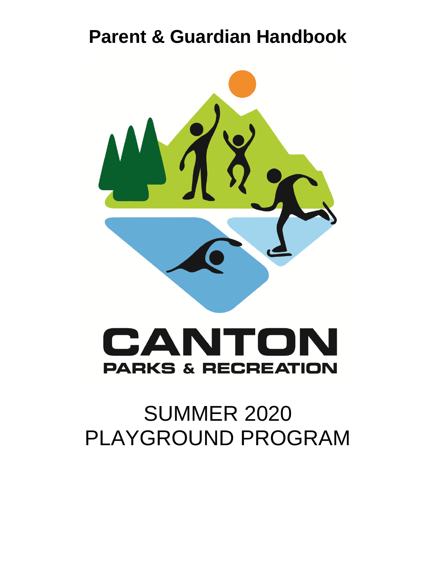# **Parent & Guardian Handbook**



# CANTO  $\blacktriangle$ **PARKS & RECREATION**

# SUMMER 2020 PLAYGROUND PROGRAM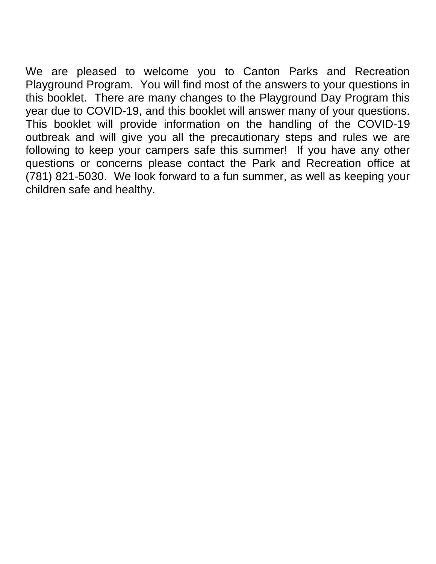We are pleased to welcome you to Canton Parks and Recreation Playground Program. You will find most of the answers to your questions in this booklet. There are many changes to the Playground Day Program this year due to COVID-19, and this booklet will answer many of your questions. This booklet will provide information on the handling of the COVID-19 outbreak and will give you all the precautionary steps and rules we are following to keep your campers safe this summer! If you have any other questions or concerns please contact the Park and Recreation office at (781) 821-5030. We look forward to a fun summer, as well as keeping your children safe and healthy.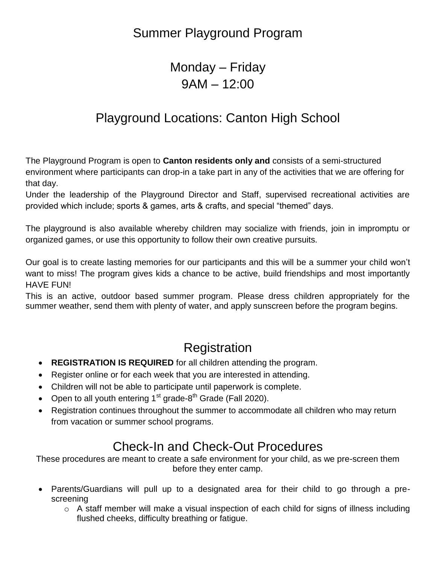### Summer Playground Program

### Monday *–* Friday 9AM – 12:00

### Playground Locations: Canton High School

The Playground Program is open to **Canton residents only and** consists of a semi-structured environment where participants can drop-in a take part in any of the activities that we are offering for that day.

Under the leadership of the Playground Director and Staff, supervised recreational activities are provided which include; sports & games, arts & crafts, and special "themed" days.

The playground is also available whereby children may socialize with friends, join in impromptu or organized games, or use this opportunity to follow their own creative pursuits.

Our goal is to create lasting memories for our participants and this will be a summer your child won't want to miss! The program gives kids a chance to be active, build friendships and most importantly HAVE FUN!

This is an active, outdoor based summer program. Please dress children appropriately for the summer weather, send them with plenty of water, and apply sunscreen before the program begins.

### Registration

- **REGISTRATION IS REQUIRED** for all children attending the program.
- Register online or for each week that you are interested in attending.
- Children will not be able to participate until paperwork is complete.
- Open to all youth entering  $1<sup>st</sup>$  grade-8<sup>th</sup> Grade (Fall 2020).
- Registration continues throughout the summer to accommodate all children who may return from vacation or summer school programs.

# Check-In and Check-Out Procedures

These procedures are meant to create a safe environment for your child, as we pre-screen them before they enter camp.

- Parents/Guardians will pull up to a designated area for their child to go through a prescreening
	- $\circ$  A staff member will make a visual inspection of each child for signs of illness including flushed cheeks, difficulty breathing or fatigue.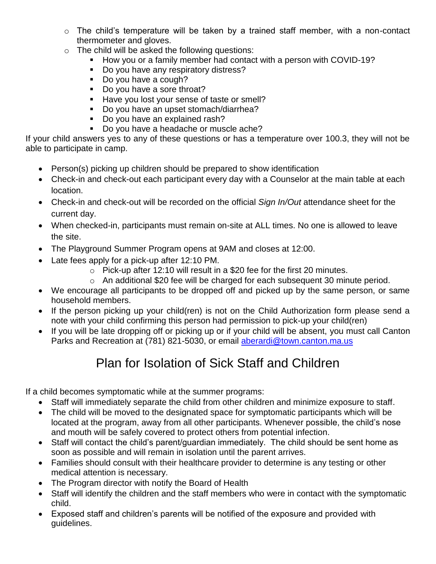- o The child's temperature will be taken by a trained staff member, with a non-contact thermometer and gloves.
- $\circ$  The child will be asked the following questions:
	- **How you or a family member had contact with a person with COVID-19?**
	- Do you have any respiratory distress?
	- Do you have a cough?
	- Do you have a sore throat?
	- Have you lost your sense of taste or smell?
	- Do you have an upset stomach/diarrhea?
	- Do you have an explained rash?
	- Do you have a headache or muscle ache?

If your child answers yes to any of these questions or has a temperature over 100.3, they will not be able to participate in camp.

- Person(s) picking up children should be prepared to show identification
- Check-in and check-out each participant every day with a Counselor at the main table at each location.
- Check-in and check-out will be recorded on the official *Sign In/Out* attendance sheet for the current day.
- When checked-in, participants must remain on-site at ALL times. No one is allowed to leave the site.
- The Playground Summer Program opens at 9AM and closes at 12:00.
- Late fees apply for a pick-up after 12:10 PM.
	- o Pick-up after 12:10 will result in a \$20 fee for the first 20 minutes.
	- o An additional \$20 fee will be charged for each subsequent 30 minute period.
- We encourage all participants to be dropped off and picked up by the same person, or same household members.
- If the person picking up your child(ren) is not on the Child Authorization form please send a note with your child confirming this person had permission to pick-up your child(ren)
- If you will be late dropping off or picking up or if your child will be absent, you must call Canton Parks and Recreation at (781) 821-5030, or email [aberardi@town.canton.ma.us](mailto:aberardi@town.canton.ma.us)

### Plan for Isolation of Sick Staff and Children

If a child becomes symptomatic while at the summer programs:

- Staff will immediately separate the child from other children and minimize exposure to staff.
- The child will be moved to the designated space for symptomatic participants which will be located at the program, away from all other participants. Whenever possible, the child's nose and mouth will be safely covered to protect others from potential infection.
- Staff will contact the child's parent/guardian immediately. The child should be sent home as soon as possible and will remain in isolation until the parent arrives.
- Families should consult with their healthcare provider to determine is any testing or other medical attention is necessary.
- The Program director with notify the Board of Health
- Staff will identify the children and the staff members who were in contact with the symptomatic child.
- Exposed staff and children's parents will be notified of the exposure and provided with guidelines.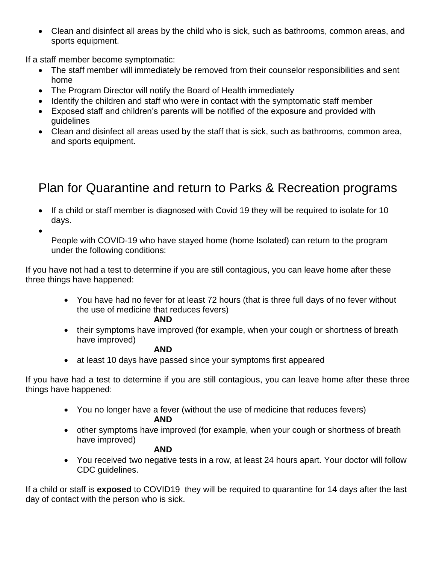Clean and disinfect all areas by the child who is sick, such as bathrooms, common areas, and sports equipment.

If a staff member become symptomatic:

- The staff member will immediately be removed from their counselor responsibilities and sent home
- The Program Director will notify the Board of Health immediately
- Identify the children and staff who were in contact with the symptomatic staff member
- Exposed staff and children's parents will be notified of the exposure and provided with guidelines
- Clean and disinfect all areas used by the staff that is sick, such as bathrooms, common area, and sports equipment.

## Plan for Quarantine and return to Parks & Recreation programs

- If a child or staff member is diagnosed with Covid 19 they will be required to isolate for 10 days.
- $\bullet$

People with COVID-19 who have stayed home (home Isolated) can return to the program under the following conditions:

If you have not had a test to determine if you are still contagious, you can leave home after these three things have happened:

> You have had no fever for at least 72 hours (that is three full days of no fever without the use of medicine that reduces fevers)

#### **AND**

• their symptoms have improved (for example, when your cough or shortness of breath have improved)

#### **AND**

• at least 10 days have passed since your symptoms first appeared

If you have had a test to determine if you are still contagious, you can leave home after these three things have happened:

- You no longer have a fever (without the use of medicine that reduces fevers) **AND**
- other symptoms have improved (for example, when your cough or shortness of breath have improved)

#### **AND**

 You received two negative tests in a row, at least 24 hours apart. Your doctor will follow CDC guidelines.

If a child or staff is **exposed** to COVID19 they will be required to quarantine for 14 days after the last day of contact with the person who is sick.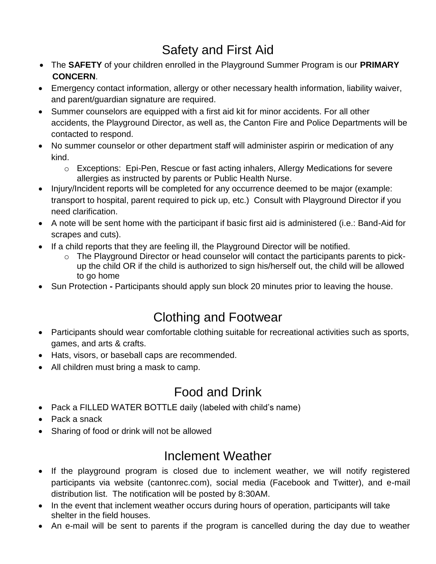# Safety and First Aid

- The **SAFETY** of your children enrolled in the Playground Summer Program is our **PRIMARY CONCERN**.
- Emergency contact information, allergy or other necessary health information, liability waiver, and parent/guardian signature are required.
- Summer counselors are equipped with a first aid kit for minor accidents. For all other accidents, the Playground Director, as well as, the Canton Fire and Police Departments will be contacted to respond.
- No summer counselor or other department staff will administer aspirin or medication of any kind.
	- o Exceptions: Epi-Pen, Rescue or fast acting inhalers, Allergy Medications for severe allergies as instructed by parents or Public Health Nurse.
- Injury/Incident reports will be completed for any occurrence deemed to be major (example: transport to hospital, parent required to pick up, etc.) Consult with Playground Director if you need clarification.
- A note will be sent home with the participant if basic first aid is administered (i.e.: Band-Aid for scrapes and cuts).
- If a child reports that they are feeling ill, the Playground Director will be notified.
	- $\circ$  The Playground Director or head counselor will contact the participants parents to pickup the child OR if the child is authorized to sign his/herself out, the child will be allowed to go home
- Sun Protection **-** Participants should apply sun block 20 minutes prior to leaving the house.

# Clothing and Footwear

- Participants should wear comfortable clothing suitable for recreational activities such as sports, games, and arts & crafts.
- Hats, visors, or baseball caps are recommended.
- All children must bring a mask to camp.

# Food and Drink

- Pack a FILLED WATER BOTTLE daily (labeled with child's name)
- Pack a snack
- Sharing of food or drink will not be allowed

# Inclement Weather

- If the playground program is closed due to inclement weather, we will notify registered participants via website (cantonrec.com), social media (Facebook and Twitter), and e-mail distribution list. The notification will be posted by 8:30AM.
- In the event that inclement weather occurs during hours of operation, participants will take shelter in the field houses.
- An e-mail will be sent to parents if the program is cancelled during the day due to weather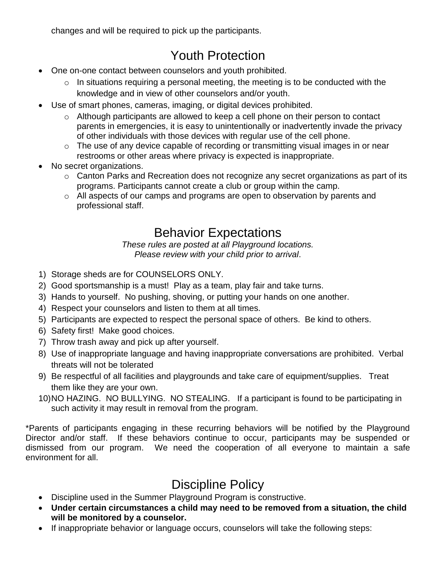changes and will be required to pick up the participants.

# Youth Protection

- One on-one contact between counselors and youth prohibited.
	- $\circ$  In situations requiring a personal meeting, the meeting is to be conducted with the knowledge and in view of other counselors and/or youth.
- Use of smart phones, cameras, imaging, or digital devices prohibited.
	- o Although participants are allowed to keep a cell phone on their person to contact parents in emergencies, it is easy to unintentionally or inadvertently invade the privacy of other individuals with those devices with regular use of the cell phone.
	- $\circ$  The use of any device capable of recording or transmitting visual images in or near restrooms or other areas where privacy is expected is inappropriate.
- No secret organizations.
	- o Canton Parks and Recreation does not recognize any secret organizations as part of its programs. Participants cannot create a club or group within the camp.
	- o All aspects of our camps and programs are open to observation by parents and professional staff.

### Behavior Expectations

*These rules are posted at all Playground locations. Please review with your child prior to arrival*.

- 1) Storage sheds are for COUNSELORS ONLY.
- 2) Good sportsmanship is a must! Play as a team, play fair and take turns.
- 3) Hands to yourself. No pushing, shoving, or putting your hands on one another.
- 4) Respect your counselors and listen to them at all times.
- 5) Participants are expected to respect the personal space of others. Be kind to others.
- 6) Safety first! Make good choices.
- 7) Throw trash away and pick up after yourself.
- 8) Use of inappropriate language and having inappropriate conversations are prohibited. Verbal threats will not be tolerated
- 9) Be respectful of all facilities and playgrounds and take care of equipment/supplies. Treat them like they are your own.
- 10)NO HAZING. NO BULLYING. NO STEALING. If a participant is found to be participating in such activity it may result in removal from the program.

\*Parents of participants engaging in these recurring behaviors will be notified by the Playground Director and/or staff. If these behaviors continue to occur, participants may be suspended or dismissed from our program. We need the cooperation of all everyone to maintain a safe environment for all.

# Discipline Policy

- Discipline used in the Summer Playground Program is constructive.
- **Under certain circumstances a child may need to be removed from a situation, the child will be monitored by a counselor.**
- If inappropriate behavior or language occurs, counselors will take the following steps: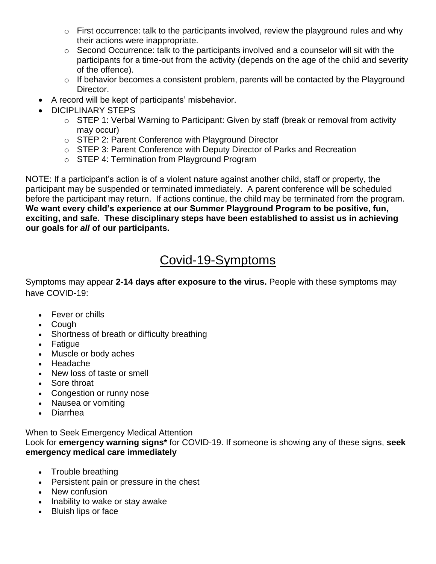- $\circ$  First occurrence: talk to the participants involved, review the playground rules and why their actions were inappropriate.
- $\circ$  Second Occurrence: talk to the participants involved and a counselor will sit with the participants for a time-out from the activity (depends on the age of the child and severity of the offence).
- $\circ$  If behavior becomes a consistent problem, parents will be contacted by the Playground Director.
- A record will be kept of participants' misbehavior.
- DICIPLINARY STEPS
	- o STEP 1: Verbal Warning to Participant: Given by staff (break or removal from activity may occur)
	- o STEP 2: Parent Conference with Playground Director
	- o STEP 3: Parent Conference with Deputy Director of Parks and Recreation
	- o STEP 4: Termination from Playground Program

NOTE: If a participant's action is of a violent nature against another child, staff or property, the participant may be suspended or terminated immediately. A parent conference will be scheduled before the participant may return. If actions continue, the child may be terminated from the program. **We want every child's experience at our Summer Playground Program to be positive, fun, exciting, and safe. These disciplinary steps have been established to assist us in achieving our goals for** *all* **of our participants.**

### Covid-19-Symptoms

Symptoms may appear **2-14 days after exposure to the virus.** People with these symptoms may have COVID-19:

- Fever or chills
- Cough
- Shortness of breath or difficulty breathing
- Fatigue
- Muscle or body aches
- Headache
- New loss of taste or smell
- Sore throat
- Congestion or runny nose
- Nausea or vomiting
- Diarrhea

When to Seek Emergency Medical Attention Look for **emergency warning signs\*** for COVID-19. If someone is showing any of these signs, **seek emergency medical care immediately**

- Trouble breathing
- Persistent pain or pressure in the chest
- New confusion
- Inability to wake or stay awake
- Bluish lips or face